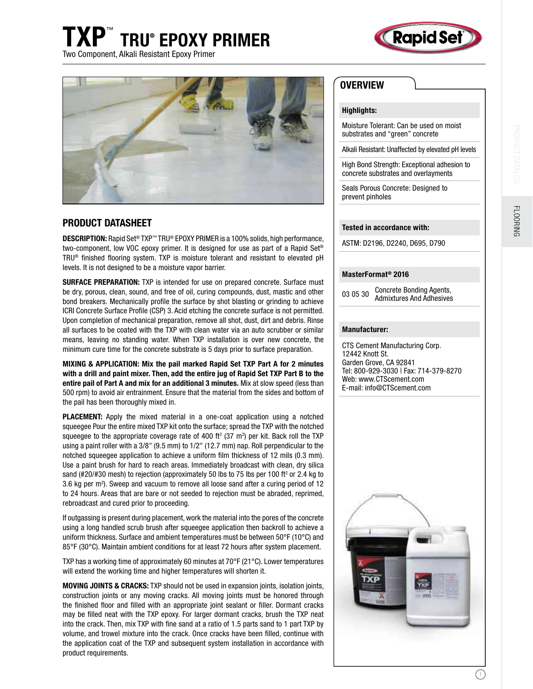# TXP<sup>™</sup> TRU® EPOXY PRIMER Two Component, Alkali Resistant Epoxy Primer





## PRODUCT DATASHEET

**DESCRIPTION:** Rapid Set<sup>®</sup> TXP™ TRU® EPOXY PRIMER is a 100% solids, high performance, two-component, low VOC epoxy primer. It is designed for use as part of a Rapid Set® TRU® finished flooring system. TXP is moisture tolerant and resistant to elevated pH levels. It is not designed to be a moisture vapor barrier.

SURFACE PREPARATION: TXP is intended for use on prepared concrete. Surface must be dry, porous, clean, sound, and free of oil, curing compounds, dust, mastic and other bond breakers. Mechanically profile the surface by shot blasting or grinding to achieve ICRI Concrete Surface Profile (CSP) 3. Acid etching the concrete surface is not permitted. Upon completion of mechanical preparation, remove all shot, dust, dirt and debris. Rinse all surfaces to be coated with the TXP with clean water via an auto scrubber or similar means, leaving no standing water. When TXP installation is over new concrete, the minimum cure time for the concrete substrate is 5 days prior to surface preparation.

MIXING & APPLICATION: Mix the pail marked Rapid Set TXP Part A for 2 minutes with a drill and paint mixer. Then, add the entire jug of Rapid Set TXP Part B to the entire pail of Part A and mix for an additional 3 minutes. Mix at slow speed (less than 500 rpm) to avoid air entrainment. Ensure that the material from the sides and bottom of the pail has been thoroughly mixed in.

PLACEMENT: Apply the mixed material in a one-coat application using a notched squeegee Pour the entire mixed TXP kit onto the surface; spread the TXP with the notched squeegee to the appropriate coverage rate of 400 ft $^{2}$  (37 m $^{2}$ ) per kit. Back roll the TXP using a paint roller with a 3/8" (9.5 mm) to 1/2" (12.7 mm) nap. Roll perpendicular to the notched squeegee application to achieve a uniform ilm thickness of 12 mils (0.3 mm). Use a paint brush for hard to reach areas. Immediately broadcast with clean, dry silica sand (#20/#30 mesh) to rejection (approximately 50 lbs to 75 lbs per 100 ft<sup>2</sup> or 2.4 kg to 3.6 kg per m<sup>2</sup> ). Sweep and vacuum to remove all loose sand after a curing period of 12 to 24 hours. Areas that are bare or not seeded to rejection must be abraded, reprimed, rebroadcast and cured prior to proceeding.

If outgassing is present during placement, work the material into the pores of the concrete using a long handled scrub brush after squeegee application then backroll to achieve a uniform thickness. Surface and ambient temperatures must be between 50°F (10°C) and 85°F (30°C). Maintain ambient conditions for at least 72 hours after system placement.

TXP has a working time of approximately 60 minutes at 70°F (21°C). Lower temperatures will extend the working time and higher temperatures will shorten it.

MOVING JOINTS & CRACKS: TXP should not be used in expansion joints, isolation joints, construction joints or any moving cracks. All moving joints must be honored through the finished floor and filled with an appropriate joint sealant or filler. Dormant cracks may be filled neat with the TXP epoxy. For larger dormant cracks, brush the TXP neat into the crack. Then, mix TXP with fine sand at a ratio of 1.5 parts sand to 1 part TXP by volume, and trowel mixture into the crack. Once cracks have been illed, continue with the application coat of the TXP and subsequent system installation in accordance with product requirements.

## **OVERVIEW**

### Highlights:

Moisture Tolerant: Can be used on moist substrates and "green" concrete

Alkali Resistant: Unaffected by elevated pH levels

High Bond Strength: Exceptional adhesion to concrete substrates and overlayments

Seals Porous Concrete: Designed to prevent pinholes

### Tested in accordance with:

ASTM: D2196, D2240, D695, D790

### MasterFormat® 2016

03 05 30 Concrete Bonding Agents, Admixtures And Adhesives

#### Manufacturer:

CTS Cement Manufacturing Corp. 12442 Knott St. Garden Grove, CA 92841 Tel: 800-929-3030 | Fax: 714-379-8270 Web: www.CTScement.com E-mail: info@CTScement.com



**FLOORING**